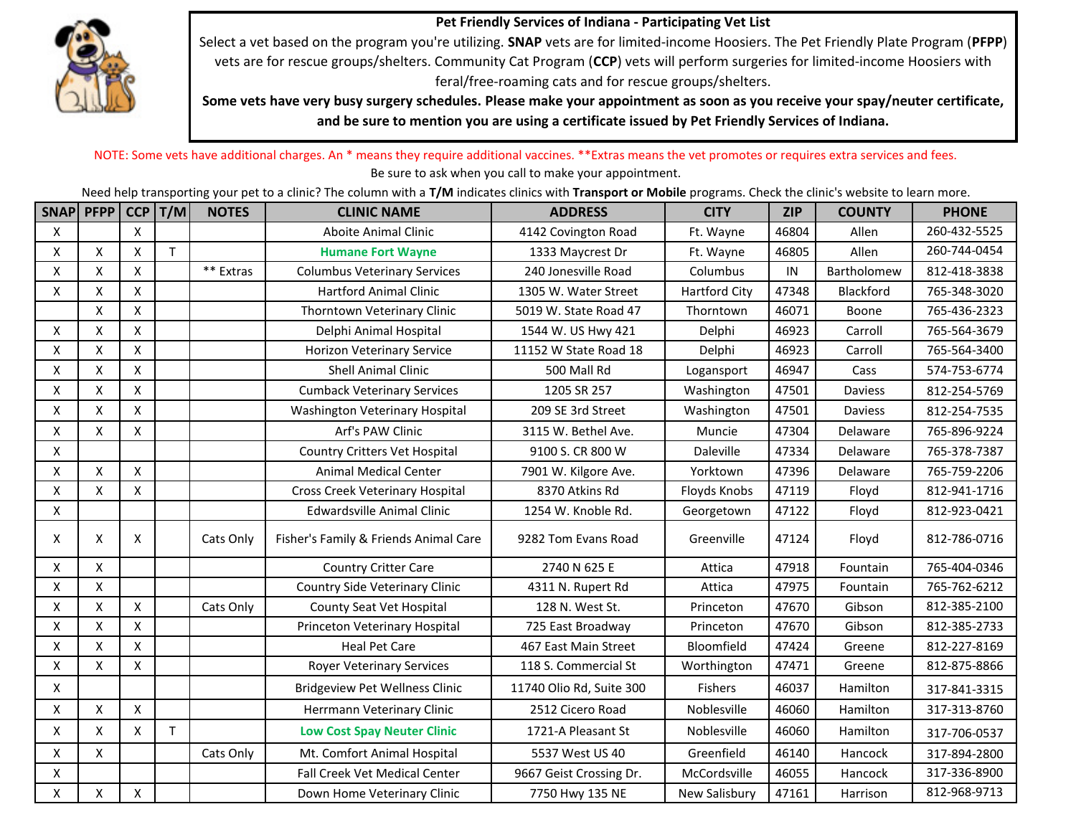

**Pet Friendly Services of Indiana - Participating Vet List** 

Select a vet based on the program you're utilizing. **SNAP** vets are for limited-income Hoosiers. The Pet Friendly Plate Program (**PFPP**) vets are for rescue groups/shelters. Community Cat Program (**CCP**) vets will perform surgeries for limited-income Hoosiers with feral/free-roaming cats and for rescue groups/shelters.

**Some vets have very busy surgery schedules. Please make your appointment as soon as you receive your spay/neuter certificate, and be sure to mention you are using a certificate issued by Pet Friendly Services of Indiana.**

NOTE: Some vets have additional charges. An \* means they require additional vaccines. \*\*Extras means the vet promotes or requires extra services and fees. Be sure to ask when you call to make your appointment.

Need help transporting your pet to a clinic? The column with a **T/M** indicates clinics with **Transport or Mobile** programs. Check the clinic's website to learn more.

|   | SNAP PFPP          | CCP            | T/M          | <b>NOTES</b> | <b>CLINIC NAME</b>                    | <b>ADDRESS</b>           | <b>CITY</b>          | <b>ZIP</b> | <b>COUNTY</b>    | <b>PHONE</b> |
|---|--------------------|----------------|--------------|--------------|---------------------------------------|--------------------------|----------------------|------------|------------------|--------------|
| X |                    | X              |              |              | Aboite Animal Clinic                  | 4142 Covington Road      | Ft. Wayne            | 46804      | Allen            | 260-432-5525 |
| X | X                  | $\pmb{\times}$ | $\mathsf T$  |              | <b>Humane Fort Wayne</b>              | 1333 Maycrest Dr         | Ft. Wayne            | 46805      | Allen            | 260-744-0454 |
| X | X                  | $\mathsf{X}$   |              | ** Extras    | <b>Columbus Veterinary Services</b>   | 240 Jonesville Road      | Columbus             | ${\sf IN}$ | Bartholomew      | 812-418-3838 |
| X | X                  | $\pmb{\times}$ |              |              | <b>Hartford Animal Clinic</b>         | 1305 W. Water Street     | <b>Hartford City</b> | 47348      | <b>Blackford</b> | 765-348-3020 |
|   | X                  | X              |              |              | Thorntown Veterinary Clinic           | 5019 W. State Road 47    | Thorntown            | 46071      | Boone            | 765-436-2323 |
| X | X                  | $\mathsf{x}$   |              |              | Delphi Animal Hospital                | 1544 W. US Hwy 421       | Delphi               | 46923      | Carroll          | 765-564-3679 |
| X | X                  | X              |              |              | <b>Horizon Veterinary Service</b>     | 11152 W State Road 18    | Delphi               | 46923      | Carroll          | 765-564-3400 |
| X | X                  | X              |              |              | <b>Shell Animal Clinic</b>            | 500 Mall Rd              | Logansport           | 46947      | Cass             | 574-753-6774 |
| X | X                  | X              |              |              | <b>Cumback Veterinary Services</b>    | 1205 SR 257              | Washington           | 47501      | Daviess          | 812-254-5769 |
| X | X                  | $\pmb{\times}$ |              |              | Washington Veterinary Hospital        | 209 SE 3rd Street        | Washington           | 47501      | Daviess          | 812-254-7535 |
| X | X                  | X              |              |              | Arf's PAW Clinic                      | 3115 W. Bethel Ave.      | Muncie               | 47304      | Delaware         | 765-896-9224 |
| X |                    |                |              |              | <b>Country Critters Vet Hospital</b>  | 9100 S. CR 800 W         | Daleville            | 47334      | Delaware         | 765-378-7387 |
| X | X                  | X              |              |              | <b>Animal Medical Center</b>          | 7901 W. Kilgore Ave.     | Yorktown             | 47396      | Delaware         | 765-759-2206 |
| X | $\pmb{\mathsf{X}}$ | $\pmb{\times}$ |              |              | Cross Creek Veterinary Hospital       | 8370 Atkins Rd           | <b>Floyds Knobs</b>  | 47119      | Floyd            | 812-941-1716 |
| X |                    |                |              |              | <b>Edwardsville Animal Clinic</b>     | 1254 W. Knoble Rd.       | Georgetown           | 47122      | Floyd            | 812-923-0421 |
| X | X                  | X              |              | Cats Only    | Fisher's Family & Friends Animal Care | 9282 Tom Evans Road      | Greenville           | 47124      | Floyd            | 812-786-0716 |
| X | X                  |                |              |              | <b>Country Critter Care</b>           | 2740 N 625 E             | Attica               | 47918      | Fountain         | 765-404-0346 |
| X | X                  |                |              |              | <b>Country Side Veterinary Clinic</b> | 4311 N. Rupert Rd        | Attica               | 47975      | Fountain         | 765-762-6212 |
| X | Χ                  | $\mathsf{X}$   |              | Cats Only    | County Seat Vet Hospital              | 128 N. West St.          | Princeton            | 47670      | Gibson           | 812-385-2100 |
| X | Χ                  | $\mathsf{X}$   |              |              | Princeton Veterinary Hospital         | 725 East Broadway        | Princeton            | 47670      | Gibson           | 812-385-2733 |
| X | X                  | $\pmb{\times}$ |              |              | <b>Heal Pet Care</b>                  | 467 East Main Street     | Bloomfield           | 47424      | Greene           | 812-227-8169 |
| X | X                  | X              |              |              | <b>Royer Veterinary Services</b>      | 118 S. Commercial St     | Worthington          | 47471      | Greene           | 812-875-8866 |
| X |                    |                |              |              | <b>Bridgeview Pet Wellness Clinic</b> | 11740 Olio Rd, Suite 300 | <b>Fishers</b>       | 46037      | Hamilton         | 317-841-3315 |
| X | X                  | $\pmb{\times}$ |              |              | Herrmann Veterinary Clinic            | 2512 Cicero Road         | Noblesville          | 46060      | Hamilton         | 317-313-8760 |
| X | X                  | X              | $\mathsf{T}$ |              | <b>Low Cost Spay Neuter Clinic</b>    | 1721-A Pleasant St       | Noblesville          | 46060      | Hamilton         | 317-706-0537 |
| X | X                  |                |              | Cats Only    | Mt. Comfort Animal Hospital           | 5537 West US 40          | Greenfield           | 46140      | Hancock          | 317-894-2800 |
| X |                    |                |              |              | Fall Creek Vet Medical Center         | 9667 Geist Crossing Dr.  | McCordsville         | 46055      | Hancock          | 317-336-8900 |
| X | Χ                  | X              |              |              | Down Home Veterinary Clinic           | 7750 Hwy 135 NE          | New Salisbury        | 47161      | Harrison         | 812-968-9713 |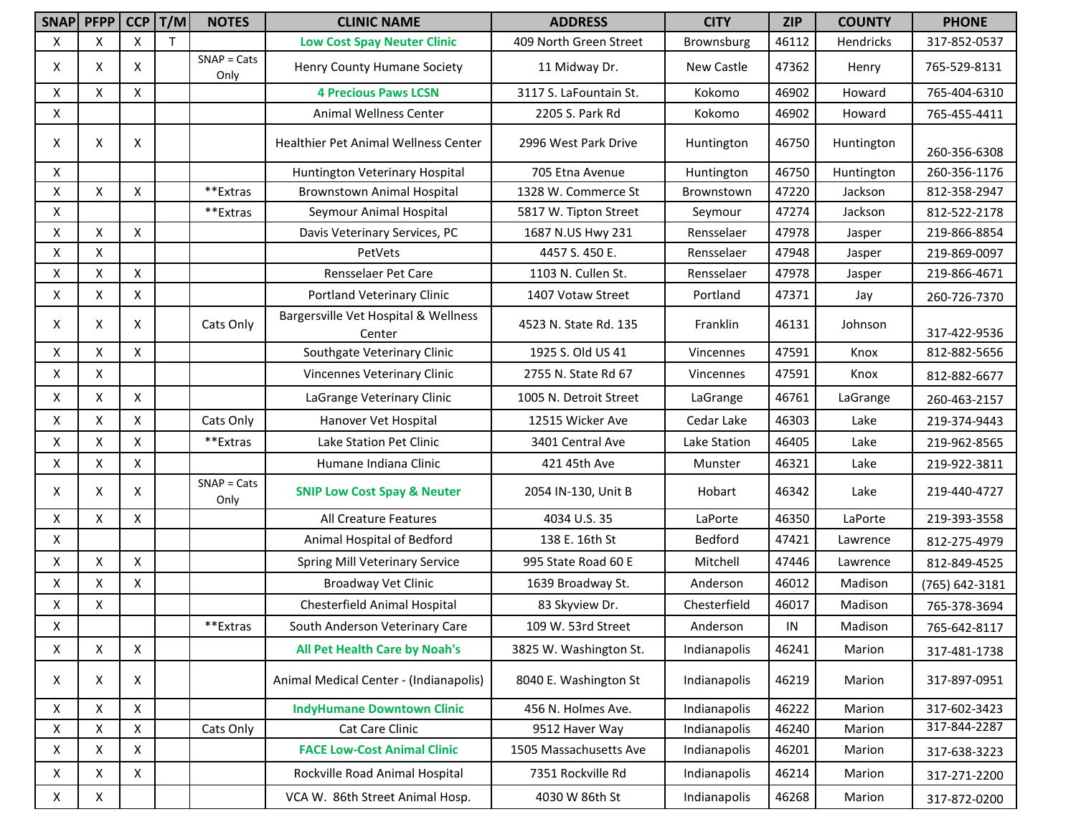|   | SNAP PFPP          | <b>CCP</b>         | T/M | <b>NOTES</b>          | <b>CLINIC NAME</b>                             | <b>ADDRESS</b>         | <b>CITY</b>  | <b>ZIP</b> | <b>COUNTY</b> | <b>PHONE</b>   |
|---|--------------------|--------------------|-----|-----------------------|------------------------------------------------|------------------------|--------------|------------|---------------|----------------|
| X | X                  | X                  | T.  |                       | <b>Low Cost Spay Neuter Clinic</b>             | 409 North Green Street | Brownsburg   | 46112      | Hendricks     | 317-852-0537   |
| X | X                  | X                  |     | $SNAP = Cats$<br>Only | Henry County Humane Society                    | 11 Midway Dr.          | New Castle   | 47362      | Henry         | 765-529-8131   |
| X | X                  | $\pmb{\times}$     |     |                       | <b>4 Precious Paws LCSN</b>                    | 3117 S. LaFountain St. | Kokomo       | 46902      | Howard        | 765-404-6310   |
| X |                    |                    |     |                       | Animal Wellness Center                         | 2205 S. Park Rd        | Kokomo       | 46902      | Howard        | 765-455-4411   |
| Χ | X                  | X                  |     |                       | Healthier Pet Animal Wellness Center           | 2996 West Park Drive   | Huntington   | 46750      | Huntington    | 260-356-6308   |
| X |                    |                    |     |                       | Huntington Veterinary Hospital                 | 705 Etna Avenue        | Huntington   | 46750      | Huntington    | 260-356-1176   |
| X | $\pmb{\mathsf{X}}$ | $\pmb{\times}$     |     | **Extras              | <b>Brownstown Animal Hospital</b>              | 1328 W. Commerce St    | Brownstown   | 47220      | Jackson       | 812-358-2947   |
| X |                    |                    |     | **Extras              | Seymour Animal Hospital                        | 5817 W. Tipton Street  | Seymour      | 47274      | Jackson       | 812-522-2178   |
| X | X                  | $\pmb{\times}$     |     |                       | Davis Veterinary Services, PC                  | 1687 N.US Hwy 231      | Rensselaer   | 47978      | Jasper        | 219-866-8854   |
| X | X                  |                    |     |                       | PetVets                                        | 4457 S. 450 E.         | Rensselaer   | 47948      | Jasper        | 219-869-0097   |
| X | X                  | $\pmb{\mathsf{X}}$ |     |                       | Rensselaer Pet Care                            | 1103 N. Cullen St.     | Rensselaer   | 47978      | Jasper        | 219-866-4671   |
| X | X                  | X                  |     |                       | Portland Veterinary Clinic                     | 1407 Votaw Street      | Portland     | 47371      | Jay           | 260-726-7370   |
| Χ | X                  | Χ                  |     | Cats Only             | Bargersville Vet Hospital & Wellness<br>Center | 4523 N. State Rd. 135  | Franklin     | 46131      | Johnson       | 317-422-9536   |
| X | X                  | X                  |     |                       | Southgate Veterinary Clinic                    | 1925 S. Old US 41      | Vincennes    | 47591      | Knox          | 812-882-5656   |
| X | X                  |                    |     |                       | Vincennes Veterinary Clinic                    | 2755 N. State Rd 67    | Vincennes    | 47591      | Knox          | 812-882-6677   |
| X | X                  | X                  |     |                       | LaGrange Veterinary Clinic                     | 1005 N. Detroit Street | LaGrange     | 46761      | LaGrange      | 260-463-2157   |
| X | Χ                  | $\pmb{\mathsf{X}}$ |     | Cats Only             | Hanover Vet Hospital                           | 12515 Wicker Ave       | Cedar Lake   | 46303      | Lake          | 219-374-9443   |
| X | X                  | $\mathsf{X}$       |     | **Extras              | Lake Station Pet Clinic                        | 3401 Central Ave       | Lake Station | 46405      | Lake          | 219-962-8565   |
| X | X                  | X                  |     |                       | Humane Indiana Clinic                          | 421 45th Ave           | Munster      | 46321      | Lake          | 219-922-3811   |
| Χ | X                  | X                  |     | $SNAP = Cats$<br>Only | <b>SNIP Low Cost Spay &amp; Neuter</b>         | 2054 IN-130, Unit B    | Hobart       | 46342      | Lake          | 219-440-4727   |
| X | Χ                  | X                  |     |                       | All Creature Features                          | 4034 U.S. 35           | LaPorte      | 46350      | LaPorte       | 219-393-3558   |
| X |                    |                    |     |                       | Animal Hospital of Bedford                     | 138 E. 16th St         | Bedford      | 47421      | Lawrence      | 812-275-4979   |
| X | X                  | X                  |     |                       | <b>Spring Mill Veterinary Service</b>          | 995 State Road 60 E    | Mitchell     | 47446      | Lawrence      | 812-849-4525   |
| X | Χ                  | $\mathsf{X}$       |     |                       | <b>Broadway Vet Clinic</b>                     | 1639 Broadway St.      | Anderson     | 46012      | Madison       | (765) 642-3181 |
| X | X                  |                    |     |                       | Chesterfield Animal Hospital                   | 83 Skyview Dr.         | Chesterfield | 46017      | Madison       | 765-378-3694   |
| X |                    |                    |     | **Extras              | South Anderson Veterinary Care                 | 109 W. 53rd Street     | Anderson     | IN         | Madison       | 765-642-8117   |
| X | X                  | $\mathsf{X}$       |     |                       | <b>All Pet Health Care by Noah's</b>           | 3825 W. Washington St. | Indianapolis | 46241      | Marion        | 317-481-1738   |
| X | X                  | X                  |     |                       | Animal Medical Center - (Indianapolis)         | 8040 E. Washington St  | Indianapolis | 46219      | Marion        | 317-897-0951   |
| X | X                  | $\mathsf{X}$       |     |                       | <b>IndyHumane Downtown Clinic</b>              | 456 N. Holmes Ave.     | Indianapolis | 46222      | Marion        | 317-602-3423   |
| X | Χ                  | $\mathsf{X}$       |     | Cats Only             | Cat Care Clinic                                | 9512 Haver Way         | Indianapolis | 46240      | Marion        | 317-844-2287   |
| X | X                  | X                  |     |                       | <b>FACE Low-Cost Animal Clinic</b>             | 1505 Massachusetts Ave | Indianapolis | 46201      | Marion        | 317-638-3223   |
| X | x                  | X                  |     |                       | Rockville Road Animal Hospital                 | 7351 Rockville Rd      | Indianapolis | 46214      | Marion        | 317-271-2200   |
| X | X                  |                    |     |                       | VCA W. 86th Street Animal Hosp.                | 4030 W 86th St         | Indianapolis | 46268      | Marion        | 317-872-0200   |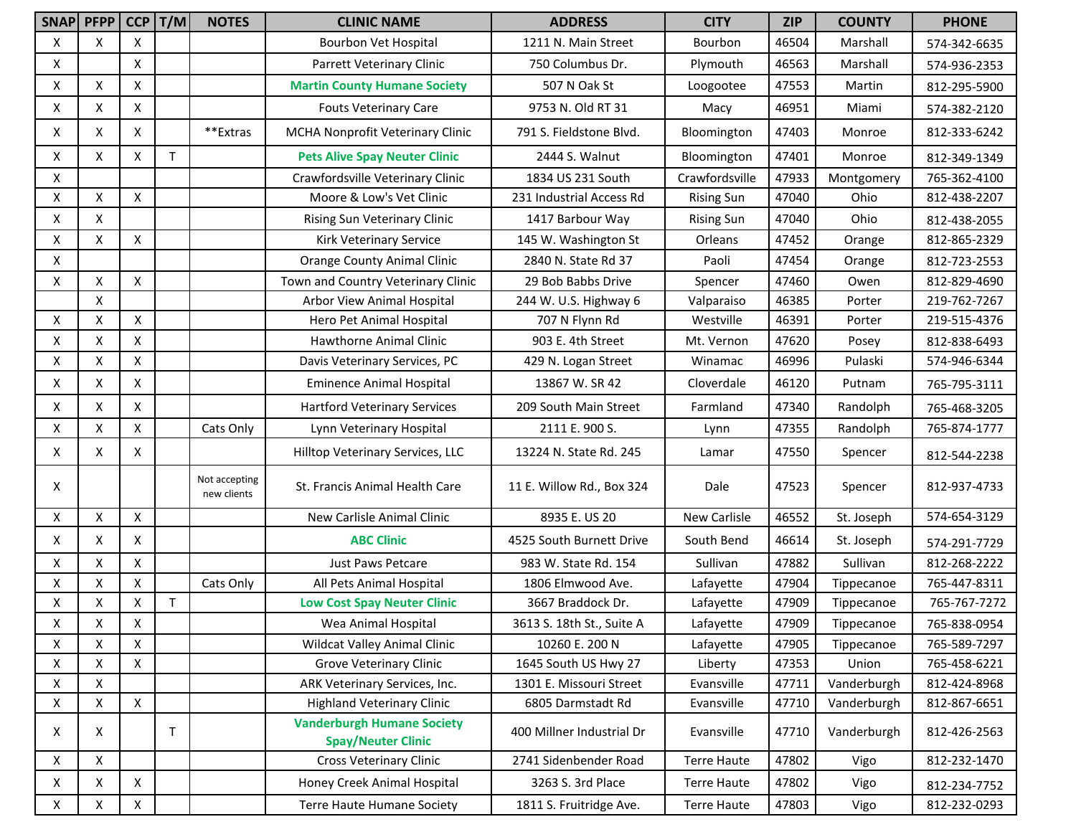|   | SNAP PFPP |              | $CCP$   $T/M$ | <b>NOTES</b>                 | <b>CLINIC NAME</b>                                             | <b>ADDRESS</b>            | <b>CITY</b>        | <b>ZIP</b> | <b>COUNTY</b> | <b>PHONE</b> |
|---|-----------|--------------|---------------|------------------------------|----------------------------------------------------------------|---------------------------|--------------------|------------|---------------|--------------|
| X | X         | X            |               |                              | Bourbon Vet Hospital                                           | 1211 N. Main Street       | Bourbon            | 46504      | Marshall      | 574-342-6635 |
| x |           | X            |               |                              | Parrett Veterinary Clinic                                      | 750 Columbus Dr.          | Plymouth           | 46563      | Marshall      | 574-936-2353 |
| X | X         | X            |               |                              | <b>Martin County Humane Society</b>                            | 507 N Oak St              | Loogootee          | 47553      | Martin        | 812-295-5900 |
| X | X         | X            |               |                              | <b>Fouts Veterinary Care</b>                                   | 9753 N. Old RT 31         | Macy               | 46951      | Miami         | 574-382-2120 |
| X | X         | Χ            |               | **Extras                     | MCHA Nonprofit Veterinary Clinic                               | 791 S. Fieldstone Blvd.   | Bloomington        | 47403      | Monroe        | 812-333-6242 |
| X | X         | X            | $\mathsf{T}$  |                              | <b>Pets Alive Spay Neuter Clinic</b>                           | 2444 S. Walnut            | Bloomington        | 47401      | Monroe        | 812-349-1349 |
| x |           |              |               |                              | Crawfordsville Veterinary Clinic                               | 1834 US 231 South         | Crawfordsville     | 47933      | Montgomery    | 765-362-4100 |
| X | X         | X            |               |                              | Moore & Low's Vet Clinic                                       | 231 Industrial Access Rd  | <b>Rising Sun</b>  | 47040      | Ohio          | 812-438-2207 |
| X | X         |              |               |                              | Rising Sun Veterinary Clinic                                   | 1417 Barbour Way          | <b>Rising Sun</b>  | 47040      | Ohio          | 812-438-2055 |
| x | Χ         | X            |               |                              | Kirk Veterinary Service                                        | 145 W. Washington St      | Orleans            | 47452      | Orange        | 812-865-2329 |
| x |           |              |               |                              | <b>Orange County Animal Clinic</b>                             | 2840 N. State Rd 37       | Paoli              | 47454      | Orange        | 812-723-2553 |
| X | Χ         | X            |               |                              | Town and Country Veterinary Clinic                             | 29 Bob Babbs Drive        | Spencer            | 47460      | Owen          | 812-829-4690 |
|   | X         |              |               |                              | Arbor View Animal Hospital                                     | 244 W. U.S. Highway 6     | Valparaiso         | 46385      | Porter        | 219-762-7267 |
| X | X         | X            |               |                              | Hero Pet Animal Hospital                                       | 707 N Flynn Rd            | Westville          | 46391      | Porter        | 219-515-4376 |
| X | X         | X            |               |                              | Hawthorne Animal Clinic                                        | 903 E. 4th Street         | Mt. Vernon         | 47620      | Posey         | 812-838-6493 |
| X | X         | X            |               |                              | Davis Veterinary Services, PC                                  | 429 N. Logan Street       | Winamac            | 46996      | Pulaski       | 574-946-6344 |
| X | X         | Χ            |               |                              | <b>Eminence Animal Hospital</b>                                | 13867 W. SR 42            | Cloverdale         | 46120      | Putnam        | 765-795-3111 |
| x | X         | X            |               |                              | <b>Hartford Veterinary Services</b>                            | 209 South Main Street     | Farmland           | 47340      | Randolph      | 765-468-3205 |
| X | X         | $\mathsf{x}$ |               | Cats Only                    | Lynn Veterinary Hospital                                       | 2111 E. 900 S.            | Lynn               | 47355      | Randolph      | 765-874-1777 |
| X | X         | Χ            |               |                              | Hilltop Veterinary Services, LLC                               | 13224 N. State Rd. 245    | Lamar              | 47550      | Spencer       | 812-544-2238 |
| X |           |              |               | Not accepting<br>new clients | St. Francis Animal Health Care                                 | 11 E. Willow Rd., Box 324 | Dale               | 47523      | Spencer       | 812-937-4733 |
| Χ | X         | X            |               |                              | New Carlisle Animal Clinic                                     | 8935 E. US 20             | New Carlisle       | 46552      | St. Joseph    | 574-654-3129 |
| Χ | X         | Χ            |               |                              | <b>ABC Clinic</b>                                              | 4525 South Burnett Drive  | South Bend         | 46614      | St. Joseph    | 574-291-7729 |
| X | X         | X            |               |                              | <b>Just Paws Petcare</b>                                       | 983 W. State Rd. 154      | Sullivan           | 47882      | Sullivan      | 812-268-2222 |
| Χ | X         | X            |               | Cats Only                    | All Pets Animal Hospital                                       | 1806 Elmwood Ave.         | Lafayette          | 47904      | Tippecanoe    | 765-447-8311 |
| x | X         | X            | T.            |                              | <b>Low Cost Spay Neuter Clinic</b>                             | 3667 Braddock Dr.         | Lafayette          | 47909      | Tippecanoe    | 765-767-7272 |
| Χ | X         | Χ            |               |                              | Wea Animal Hospital                                            | 3613 S. 18th St., Suite A | Lafayette          | 47909      | Tippecanoe    | 765-838-0954 |
| X | X         | X            |               |                              | Wildcat Valley Animal Clinic                                   | 10260 E. 200 N            | Lafayette          | 47905      | Tippecanoe    | 765-589-7297 |
| X | X         | X            |               |                              | Grove Veterinary Clinic                                        | 1645 South US Hwy 27      | Liberty            | 47353      | Union         | 765-458-6221 |
| X | X         |              |               |                              | ARK Veterinary Services, Inc.                                  | 1301 E. Missouri Street   | Evansville         | 47711      | Vanderburgh   | 812-424-8968 |
| X | X         | $\mathsf{X}$ |               |                              | <b>Highland Veterinary Clinic</b>                              | 6805 Darmstadt Rd         | Evansville         | 47710      | Vanderburgh   | 812-867-6651 |
| X | X         |              | Τ             |                              | <b>Vanderburgh Humane Society</b><br><b>Spay/Neuter Clinic</b> | 400 Millner Industrial Dr | Evansville         | 47710      | Vanderburgh   | 812-426-2563 |
| X | X         |              |               |                              | <b>Cross Veterinary Clinic</b>                                 | 2741 Sidenbender Road     | <b>Terre Haute</b> | 47802      | Vigo          | 812-232-1470 |
| X | X         | X            |               |                              | Honey Creek Animal Hospital                                    | 3263 S. 3rd Place         | <b>Terre Haute</b> | 47802      | Vigo          | 812-234-7752 |
| X | X         | X            |               |                              | <b>Terre Haute Humane Society</b>                              | 1811 S. Fruitridge Ave.   | <b>Terre Haute</b> | 47803      | Vigo          | 812-232-0293 |